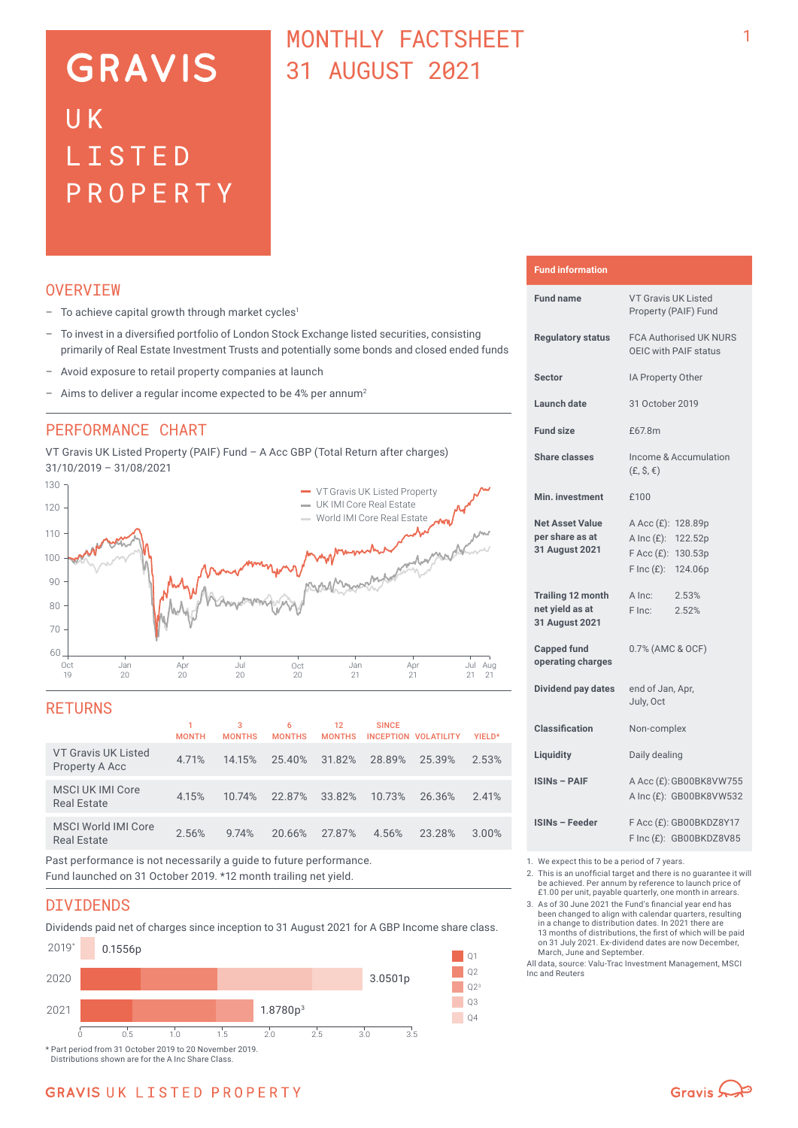# **GRAVIS** UK LISTED PROPERTY

### MONTHLY FACTSHEFT 31 AUGUST 2021

#### **OVERVTEW**

- $-$  To achieve capital growth through market cycles<sup>1</sup>
- To invest in a diversified portfolio of London Stock Exchange listed securities, consisting primarily of Real Estate Investment Trusts and potentially some bonds and closed ended funds
- Avoid exposure to retail property companies at launch
- Aims to deliver a regular income expected to be 4% per annum<sup>2</sup>

#### PERFORMANCE CHART

VT Gravis UK Listed Property (PAIF) Fund – A Acc GBP (Total Return after charges) 31/10/2019 – 31/08/2021



#### **RETURNS**

|                                                                                                                                                                                                                                            | <b>MONTH</b> | 3<br><b>MONTHS</b> | 6<br><b>MONTHS</b>                  | 12<br><b>MONTHS</b> | <b>SINCE</b> | <b>INCEPTION VOLATILITY</b> | YIELD* |
|--------------------------------------------------------------------------------------------------------------------------------------------------------------------------------------------------------------------------------------------|--------------|--------------------|-------------------------------------|---------------------|--------------|-----------------------------|--------|
| <b>VT Gravis UK Listed</b><br>Property A Acc                                                                                                                                                                                               | 4.71%        | 14.15%             | 25.40%                              | 31.82%              | 28.89%       | 25.39%                      | 2.53%  |
| <b>MSCI UK IMI Core</b><br><b>Real Estate</b>                                                                                                                                                                                              | 4.15%        | 10.74%             | 22.87%                              | 33.82%              | 10.73%       | 26.36%                      | 2.41%  |
| <b>MSCI World IMI Core</b><br><b>Real Estate</b>                                                                                                                                                                                           | 2.56%        | 9.74%              | 20.66%                              | 27.87%              | 4.56%        | 23.28%                      | 3.00%  |
| ____<br>$\bullet$ . The contract of the contract of the contract of the contract of the contract of the contract of the contract of the contract of the contract of the contract of the contract of the contract of the contract of the co |              |                    | $\cdots$ $\cdots$ $\cdots$ $\cdots$ |                     |              |                             |        |

Past performance is not necessarily a guide to future performance. Fund launched on 31 October 2019. \*12 month trailing net yield.

#### DIVIDENDS

Dividends paid net of charges since inception to 31 August 2021 for A GBP Income share class.



**GRAVIS UK LISTED PROPERTY** 

| <b>Fund information</b> |  |  |
|-------------------------|--|--|
|                         |  |  |

| <b>Fund name</b>                                              | <b>VT Gravis UK Listed</b><br>Property (PAIF) Fund                            |                                                    |  |  |
|---------------------------------------------------------------|-------------------------------------------------------------------------------|----------------------------------------------------|--|--|
| <b>Regulatory status</b>                                      | <b>FCA Authorised UK NURS</b><br>OEIC with PAIF status                        |                                                    |  |  |
| <b>Sector</b>                                                 | IA Property Other                                                             |                                                    |  |  |
| <b>Launch date</b>                                            | 31 October 2019                                                               |                                                    |  |  |
| <b>Fund size</b>                                              | £67.8m                                                                        |                                                    |  |  |
| <b>Share classes</b>                                          | $(E, \hat{S}, \epsilon)$                                                      | Income & Accumulation                              |  |  |
| Min. investment                                               | £100                                                                          |                                                    |  |  |
| <b>Net Asset Value</b><br>per share as at<br>31 August 2021   | A Acc (£): 128.89p<br>A Inc $(E)$ :<br>$F$ Acc $(E)$ :<br>$F \text{Inc}(f)$ : | 122.52p<br>130.53p<br>124.06p                      |  |  |
| <b>Trailing 12 month</b><br>net yield as at<br>31 August 2021 | A Inc:<br>F Inc:                                                              | 2.53%<br>2.52%                                     |  |  |
| <b>Capped fund</b><br>operating charges                       | 0.7% (AMC & OCF)                                                              |                                                    |  |  |
| Dividend pay dates                                            | end of Jan, Apr,<br>July, Oct                                                 |                                                    |  |  |
| <b>Classification</b>                                         | Non-complex                                                                   |                                                    |  |  |
| Liquidity                                                     | Daily dealing                                                                 |                                                    |  |  |
| <b>ISINs - PAIF</b>                                           |                                                                               | A Acc (£): GB00BK8VW755<br>A Inc (£): GB00BK8VW532 |  |  |
| <b>ISINs - Feeder</b>                                         | F Acc (£): GB00BKDZ8Y17<br>F Inc (£): GB00BKDZ8V85                            |                                                    |  |  |

1. We expect this to be a period of 7 years.<br>2. This is an unofficial target and there is n

2. This is an unofficial target and there is no guarantee it will be achieved. Per annum by reference to launch price of £1.00 per unit, payable quarterly, one month in arrears.

3. As of 30 June 2021 the Fund's financial year end has been changed to align with calendar quarters, resulting in a change to distribution dates. In 2021 there are 13 months of distributions, the first of which will be paid on 31 July 2021. Ex-dividend dates are now December, March, June and September.

All data, source: Valu-Trac Investment Management, MSCI Inc and Reuters

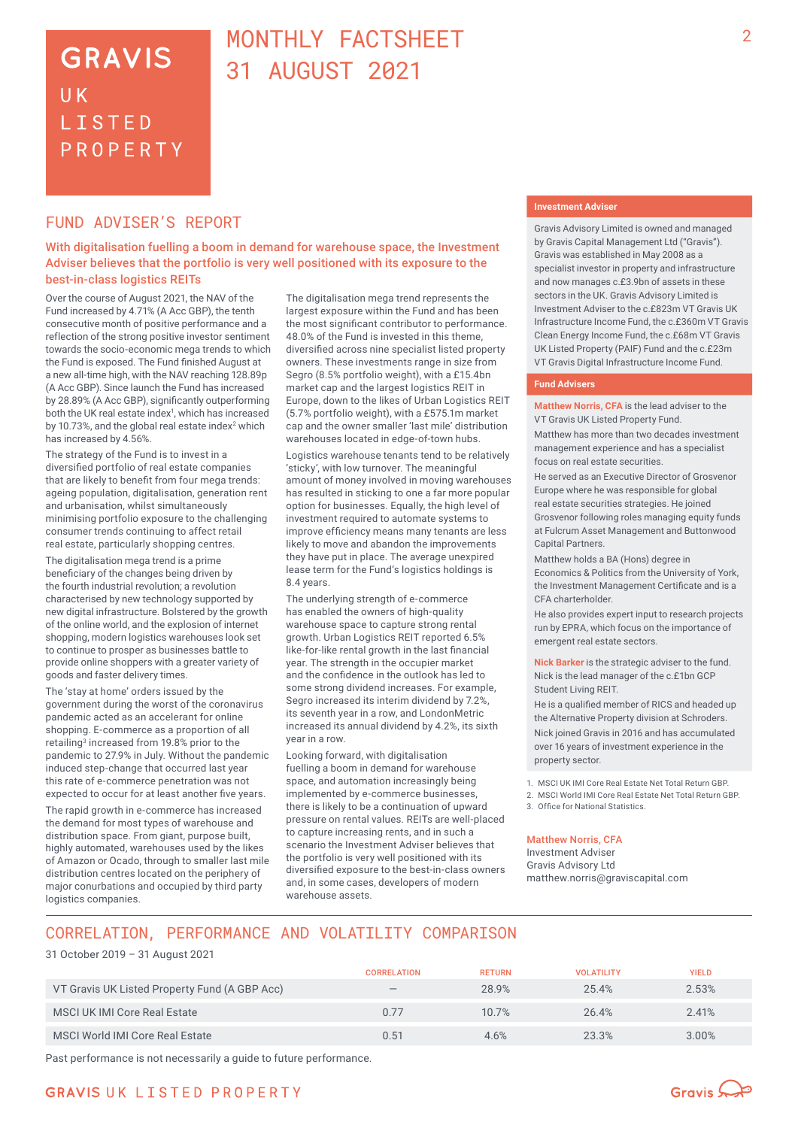### **GRAVIS** UK **LISTED** PROPERTY

### MONTHLY FACTSHEET 31 AUGUST 2021

#### FUND ADVISER'S REPORT

With digitalisation fuelling a boom in demand for warehouse space, the Investment Adviser believes that the portfolio is very well positioned with its exposure to the best-in-class logistics REITs

Over the course of August 2021, the NAV of the Fund increased by 4.71% (A Acc GBP), the tenth consecutive month of positive performance and a reflection of the strong positive investor sentiment towards the socio-economic mega trends to which the Fund is exposed. The Fund finished August at a new all-time high, with the NAV reaching 128.89p (A Acc GBP). Since launch the Fund has increased by 28.89% (A Acc GBP), significantly outperforming both the UK real estate index<sup>1</sup>, which has increased by 10.73%, and the global real estate index<sup>2</sup> which has increased by 4.56%.

The strategy of the Fund is to invest in a diversified portfolio of real estate companies that are likely to benefit from four mega trends: ageing population, digitalisation, generation rent and urbanisation, whilst simultaneously minimising portfolio exposure to the challenging consumer trends continuing to affect retail real estate, particularly shopping centres.

The digitalisation mega trend is a prime beneficiary of the changes being driven by the fourth industrial revolution; a revolution characterised by new technology supported by new digital infrastructure. Bolstered by the growth of the online world, and the explosion of internet shopping, modern logistics warehouses look set to continue to prosper as businesses battle to provide online shoppers with a greater variety of goods and faster delivery times.

The 'stay at home' orders issued by the government during the worst of the coronavirus pandemic acted as an accelerant for online shopping. E-commerce as a proportion of all retailing<sup>3</sup> increased from 19.8% prior to the pandemic to 27.9% in July. Without the pandemic induced step-change that occurred last year this rate of e-commerce penetration was not expected to occur for at least another five years.

The rapid growth in e-commerce has increased the demand for most types of warehouse and distribution space. From giant, purpose built, highly automated, warehouses used by the likes of Amazon or Ocado, through to smaller last mile distribution centres located on the periphery of major conurbations and occupied by third party logistics companies.

The digitalisation mega trend represents the largest exposure within the Fund and has been the most significant contributor to performance. 48.0% of the Fund is invested in this theme, diversified across nine specialist listed property owners. These investments range in size from Segro (8.5% portfolio weight), with a £15.4bn market cap and the largest logistics REIT in Europe, down to the likes of Urban Logistics REIT (5.7% portfolio weight), with a £575.1m market cap and the owner smaller 'last mile' distribution warehouses located in edge-of-town hubs.

Logistics warehouse tenants tend to be relatively 'sticky', with low turnover. The meaningful amount of money involved in moving warehouses has resulted in sticking to one a far more popular option for businesses. Equally, the high level of investment required to automate systems to improve efficiency means many tenants are less likely to move and abandon the improvements they have put in place. The average unexpired lease term for the Fund's logistics holdings is 8.4 years.

The underlying strength of e-commerce has enabled the owners of high-quality warehouse space to capture strong rental growth. Urban Logistics REIT reported 6.5% like-for-like rental growth in the last financial year. The strength in the occupier market and the confidence in the outlook has led to some strong dividend increases. For example, Segro increased its interim dividend by 7.2% its seventh year in a row, and LondonMetric increased its annual dividend by 4.2%, its sixth year in a row.

Looking forward, with digitalisation fuelling a boom in demand for warehouse space, and automation increasingly being implemented by e-commerce businesses, there is likely to be a continuation of upward pressure on rental values. REITs are well-placed to capture increasing rents, and in such a scenario the Investment Adviser believes that the portfolio is very well positioned with its diversified exposure to the best-in-class owners and, in some cases, developers of modern warehouse assets.

#### **Investment Adviser**

Gravis Advisory Limited is owned and managed by Gravis Capital Management Ltd ("Gravis"). Gravis was established in May 2008 as a specialist investor in property and infrastructure and now manages c.£3.9bn of assets in these sectors in the UK. Gravis Advisory Limited is Investment Adviser to the c.£823m VT Gravis UK Infrastructure Income Fund, the c.£360m VT Gravis Clean Energy Income Fund, the c.£68m VT Gravis UK Listed Property (PAIF) Fund and the c.£23m VT Gravis Digital Infrastructure Income Fund.

#### **Fund Advisers**

**Matthew Norris, CFA** is the lead adviser to the VT Gravis UK Listed Property Fund.

Matthew has more than two decades investment management experience and has a specialist focus on real estate securities.

He served as an Executive Director of Grosvenor Europe where he was responsible for global real estate securities strategies. He joined Grosvenor following roles managing equity funds at Fulcrum Asset Management and Buttonwood Capital Partners.

Matthew holds a BA (Hons) degree in Economics & Politics from the University of York, the Investment Management Certificate and is a CFA charterholder.

He also provides expert input to research projects run by EPRA, which focus on the importance of emergent real estate sectors.

**Nick Barker** is the strategic adviser to the fund. Nick is the lead manager of the c.£1bn GCP Student Living REIT.

He is a qualified member of RICS and headed up the Alternative Property division at Schroders. Nick joined Gravis in 2016 and has accumulated over 16 years of investment experience in the property sector.

1. MSCI UK IMI Core Real Estate Net Total Return GBP.

2. MSCI World IMI Core Real Estate Net Total Return GBP.

3. Office for National Statistics.

#### Matthew Norris, CFA

Investment Adviser Gravis Advisory Ltd matthew.norris@graviscapital.com

### CORRELATION, PERFORMANCE AND VOLATILITY COMPARISON

31 October 2019 – 31 August 2021

|                                               | <b>CORRELATION</b>                        | <b>RETURN</b> | <b>VOLATILITY</b> | <b>YIELD</b> |
|-----------------------------------------------|-------------------------------------------|---------------|-------------------|--------------|
| VT Gravis UK Listed Property Fund (A GBP Acc) | $\qquad \qquad \overline{\qquad \qquad }$ | 28.9%         | 25.4%             | 2.53%        |
| <b>MSCI UK IMI Core Real Estate</b>           | 0.77                                      | 10.7%         | 26.4%             | 2.41%        |
| MSCI World IMI Core Real Estate               | 0.51                                      | 4.6%          | 23.3%             | 3.00%        |

Past performance is not necessarily a guide to future performance.